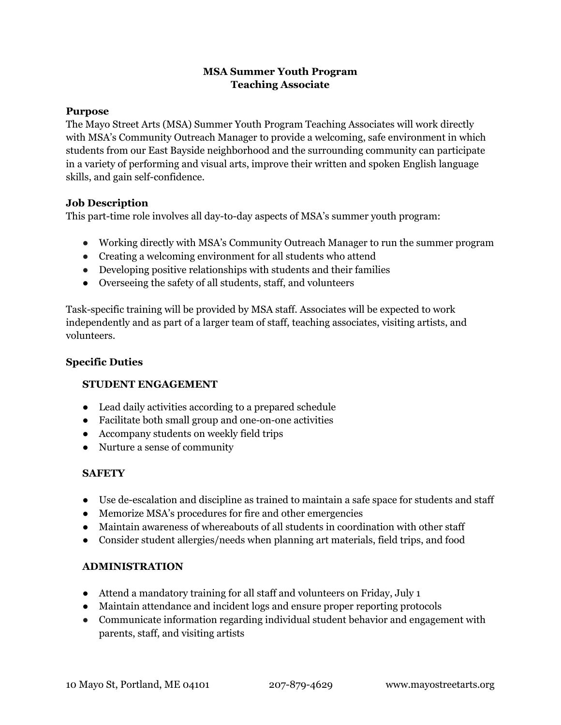# **MSA Summer Youth Program Teaching Associate**

### **Purpose**

The Mayo Street Arts (MSA) Summer Youth Program Teaching Associates will work directly with MSA's Community Outreach Manager to provide a welcoming, safe environment in which students from our East Bayside neighborhood and the surrounding community can participate in a variety of performing and visual arts, improve their written and spoken English language skills, and gain self-confidence.

### **Job Description**

This part-time role involves all day-to-day aspects of MSA's summer youth program:

- Working directly with MSA's Community Outreach Manager to run the summer program
- Creating a welcoming environment for all students who attend
- Developing positive relationships with students and their families
- Overseeing the safety of all students, staff, and volunteers

Task-specific training will be provided by MSA staff. Associates will be expected to work independently and as part of a larger team of staff, teaching associates, visiting artists, and volunteers.

### **Specific Duties**

## **STUDENT ENGAGEMENT**

- Lead daily activities according to a prepared schedule
- Facilitate both small group and one-on-one activities
- Accompany students on weekly field trips
- Nurture a sense of community

## **SAFETY**

- Use de-escalation and discipline as trained to maintain a safe space for students and staff
- Memorize MSA's procedures for fire and other emergencies
- Maintain awareness of whereabouts of all students in coordination with other staff
- Consider student allergies/needs when planning art materials, field trips, and food

## **ADMINISTRATION**

- Attend a mandatory training for all staff and volunteers on Friday, July 1
- Maintain attendance and incident logs and ensure proper reporting protocols
- Communicate information regarding individual student behavior and engagement with parents, staff, and visiting artists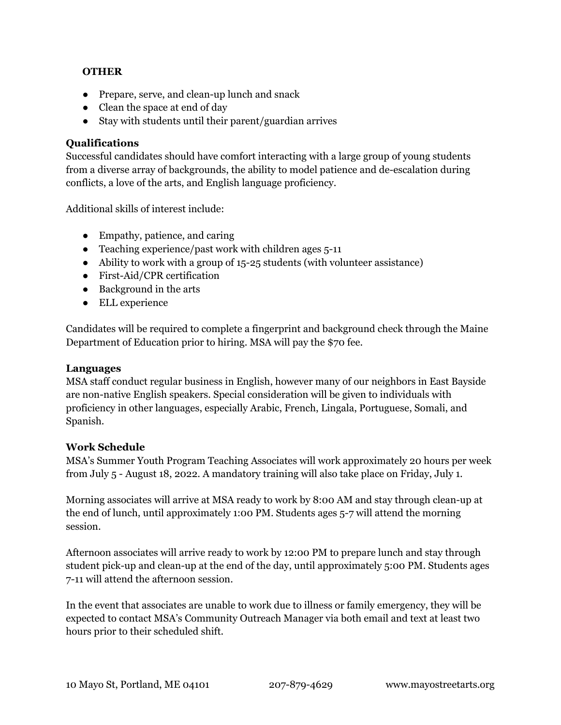### **OTHER**

- Prepare, serve, and clean-up lunch and snack
- Clean the space at end of day
- Stay with students until their parent/guardian arrives

### **Qualifications**

Successful candidates should have comfort interacting with a large group of young students from a diverse array of backgrounds, the ability to model patience and de-escalation during conflicts, a love of the arts, and English language proficiency.

Additional skills of interest include:

- Empathy, patience, and caring
- $\bullet$  Teaching experience/past work with children ages 5-11
- Ability to work with a group of 15-25 students (with volunteer assistance)
- First-Aid/CPR certification
- Background in the arts
- ELL experience

Candidates will be required to complete a fingerprint and background check through the Maine Department of Education prior to hiring. MSA will pay the \$70 fee.

#### **Languages**

MSA staff conduct regular business in English, however many of our neighbors in East Bayside are non-native English speakers. Special consideration will be given to individuals with proficiency in other languages, especially Arabic, French, Lingala, Portuguese, Somali, and Spanish.

#### **Work Schedule**

MSA's Summer Youth Program Teaching Associates will work approximately 20 hours per week from July 5 - August 18, 2022. A mandatory training will also take place on Friday, July 1.

Morning associates will arrive at MSA ready to work by 8:00 AM and stay through clean-up at the end of lunch, until approximately 1:00 PM. Students ages 5-7 will attend the morning session.

Afternoon associates will arrive ready to work by 12:00 PM to prepare lunch and stay through student pick-up and clean-up at the end of the day, until approximately 5:00 PM. Students ages 7-11 will attend the afternoon session.

In the event that associates are unable to work due to illness or family emergency, they will be expected to contact MSA's Community Outreach Manager via both email and text at least two hours prior to their scheduled shift.